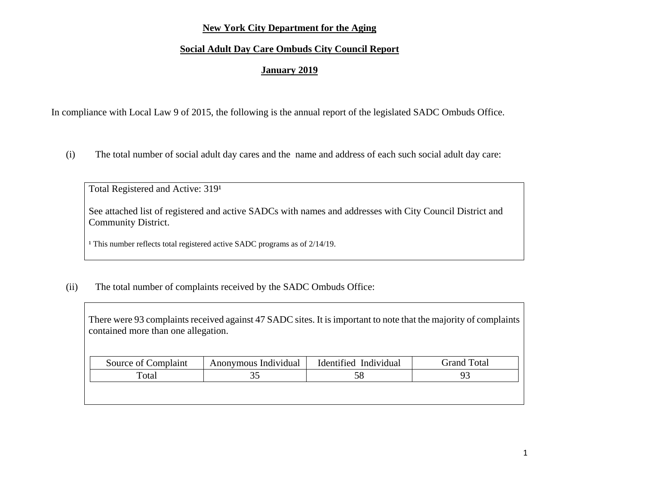## **New York City Department for the Aging**

## **Social Adult Day Care Ombuds City Council Report**

## **January 2019**

In compliance with Local Law 9 of 2015, the following is the annual report of the legislated SADC Ombuds Office.

(i) The total number of social adult day cares and the name and address of each such social adult day care:

Total Registered and Active: 3191

See attached list of registered and active SADCs with names and addresses with City Council District and Community District.

<sup>1</sup> This number reflects total registered active SADC programs as of 2/14/19.

(ii) The total number of complaints received by the SADC Ombuds Office:

There were 93 complaints received against 47 SADC sites. It is important to note that the majority of complaints contained more than one allegation.

| Source of Complaint  | Anonymous Individual | Identified Individual | <b>Grand Total</b> |
|----------------------|----------------------|-----------------------|--------------------|
| $\tau_{\text{otal}}$ |                      |                       |                    |
|                      |                      |                       |                    |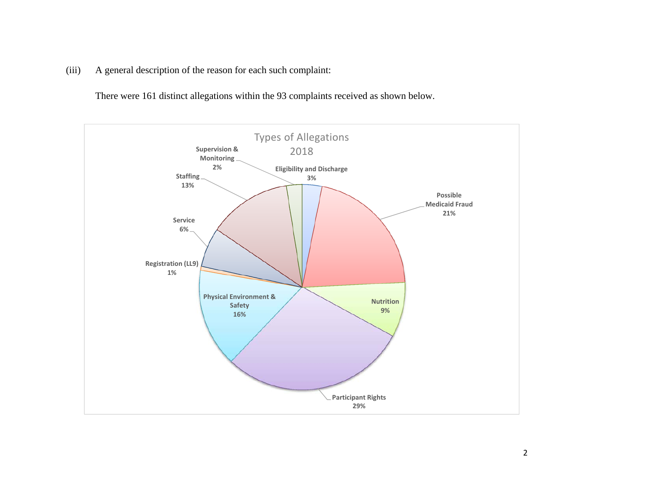(iii) A general description of the reason for each such complaint:

There were 161 distinct allegations within the 93 complaints received as shown below.

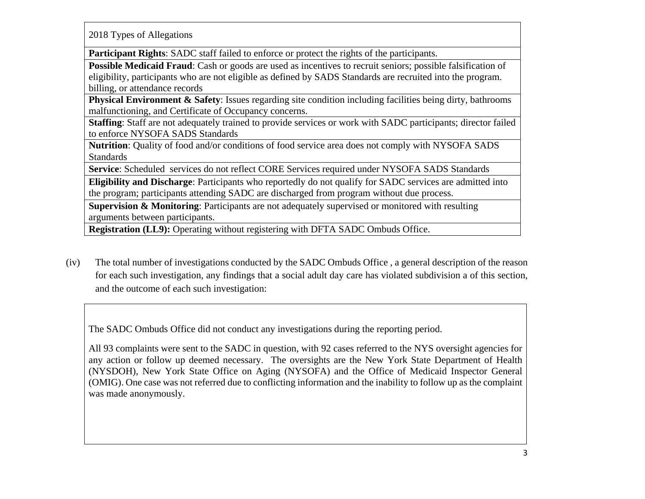2018 Types of Allegations

**Participant Rights**: SADC staff failed to enforce or protect the rights of the participants.

**Possible Medicaid Fraud**: Cash or goods are used as incentives to recruit seniors; possible falsification of eligibility, participants who are not eligible as defined by SADS Standards are recruited into the program. billing, or attendance records

**Physical Environment & Safety**: Issues regarding site condition including facilities being dirty, bathrooms malfunctioning, and Certificate of Occupancy concerns.

**Staffing**: Staff are not adequately trained to provide services or work with SADC participants; director failed to enforce NYSOFA SADS Standards

**Nutrition**: Quality of food and/or conditions of food service area does not comply with NYSOFA SADS Standards

**Service**: Scheduled services do not reflect CORE Services required under NYSOFA SADS Standards

**Eligibility and Discharge**: Participants who reportedly do not qualify for SADC services are admitted into the program; participants attending SADC are discharged from program without due process.

**Supervision & Monitoring**: Participants are not adequately supervised or monitored with resulting arguments between participants.

**Registration (LL9):** Operating without registering with DFTA SADC Ombuds Office.

(iv) The total number of investigations conducted by the SADC Ombuds Office , a general description of the reason for each such investigation, any findings that a social adult day care has violated subdivision a of this section, and the outcome of each such investigation:

The SADC Ombuds Office did not conduct any investigations during the reporting period.

All 93 complaints were sent to the SADC in question, with 92 cases referred to the NYS oversight agencies for any action or follow up deemed necessary. The oversights are the New York State Department of Health (NYSDOH), New York State Office on Aging (NYSOFA) and the Office of Medicaid Inspector General (OMIG). One case was not referred due to conflicting information and the inability to follow up as the complaint was made anonymously.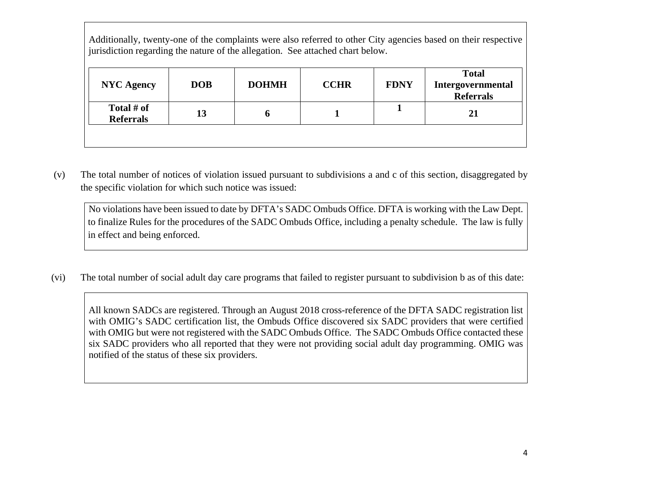Additionally, twenty-one of the complaints were also referred to other City agencies based on their respective jurisdiction regarding the nature of the allegation. See attached chart below.

| <b>NYC Agency</b>              | <b>DOB</b> | <b>DOHMH</b> | <b>CCHR</b> | <b>FDNY</b> | <b>Total</b><br>Intergovernmental<br><b>Referrals</b> |
|--------------------------------|------------|--------------|-------------|-------------|-------------------------------------------------------|
| Total # of<br><b>Referrals</b> | 13         |              |             |             | 21                                                    |
|                                |            |              |             |             |                                                       |

 (v) The total number of notices of violation issued pursuant to subdivisions a and c of this section, disaggregated by the specific violation for which such notice was issued:

No violations have been issued to date by DFTA's SADC Ombuds Office. DFTA is working with the Law Dept. to finalize Rules for the procedures of the SADC Ombuds Office, including a penalty schedule. The law is fully in effect and being enforced.

(vi) The total number of social adult day care programs that failed to register pursuant to subdivision b as of this date:

All known SADCs are registered. Through an August 2018 cross-reference of the DFTA SADC registration list with OMIG's SADC certification list, the Ombuds Office discovered six SADC providers that were certified with OMIG but were not registered with the SADC Ombuds Office. The SADC Ombuds Office contacted these six SADC providers who all reported that they were not providing social adult day programming. OMIG was notified of the status of these six providers.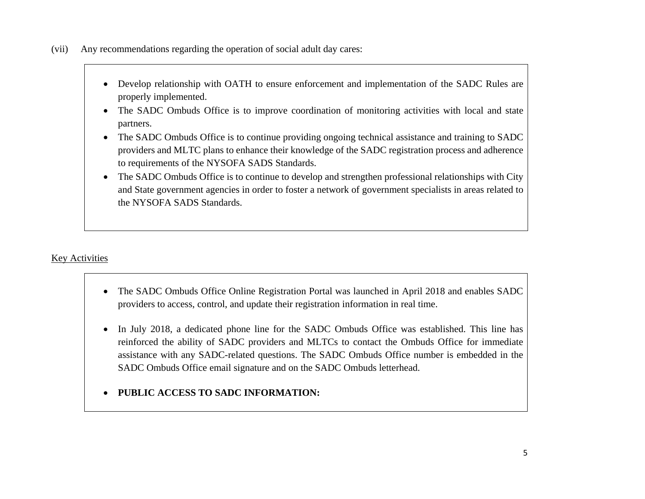(vii) Any recommendations regarding the operation of social adult day cares:

- 0 Develop relationship with OATH to ensure enforcement and implementation of the SADC Rules are properly implemented.
- 0 The SADC Ombuds Office is to improve coordination of monitoring activities with local and state partners.
- 0 The SADC Ombuds Office is to continue providing ongoing technical assistance and training to SADC providers and MLTC plans to enhance their knowledge of the SADC registration process and adherence to requirements of the NYSOFA SADS Standards.
- $\bullet$  The SADC Ombuds Office is to continue to develop and strengthen professional relationships with City and State government agencies in order to foster a network of government specialists in areas related to the NYSOFA SADS Standards.

# Key Activities

- $\bullet$  The SADC Ombuds Office Online Registration Portal was launched in April 2018 and enables SADC providers to access, control, and update their registration information in real time.
- 0 In July 2018, a dedicated phone line for the SADC Ombuds Office was established. This line has reinforced the ability of SADC providers and MLTCs to contact the Ombuds Office for immediate assistance with any SADC-related questions. The SADC Ombuds Office number is embedded in the SADC Ombuds Office email signature and on the SADC Ombuds letterhead.
- $\bullet$ **PUBLIC ACCESS TO SADC INFORMATION:**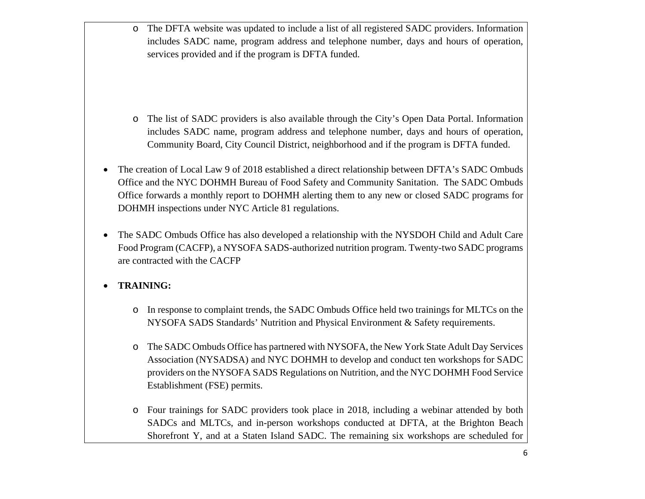o The DFTA website was updated to include a list of all registered SADC providers. Information includes SADC name, program address and telephone number, days and hours of operation, services provided and if the program is DFTA funded.

- o The list of SADC providers is also available through the City's Open Data Portal. Information includes SADC name, program address and telephone number, days and hours of operation, Community Board, City Council District, neighborhood and if the program is DFTA funded.
- 0 The creation of Local Law 9 of 2018 established a direct relationship between DFTA's SADC Ombuds Office and the NYC DOHMH Bureau of Food Safety and Community Sanitation. The SADC Ombuds Office forwards a monthly report to DOHMH alerting them to any new or closed SADC programs for DOHMH inspections under NYC Article 81 regulations.
- $\bullet$  The SADC Ombuds Office has also developed a relationship with the NYSDOH Child and Adult Care Food Program (CACFP), a NYSOFA SADS-authorized nutrition program. Twenty-two SADC programs are contracted with the CACFP

#### $\bullet$ **TRAINING:**

- o In response to complaint trends, the SADC Ombuds Office held two trainings for MLTCs on the NYSOFA SADS Standards' Nutrition and Physical Environment & Safety requirements.
- o The SADC Ombuds Office has partnered with NYSOFA, the New York State Adult Day Services Association (NYSADSA) and NYC DOHMH to develop and conduct ten workshops for SADC providers on the NYSOFA SADS Regulations on Nutrition, and the NYC DOHMH Food Service Establishment (FSE) permits.
- o Four trainings for SADC providers took place in 2018, including a webinar attended by both SADCs and MLTCs, and in-person workshops conducted at DFTA, at the Brighton Beach Shorefront Y, and at a Staten Island SADC. The remaining six workshops are scheduled for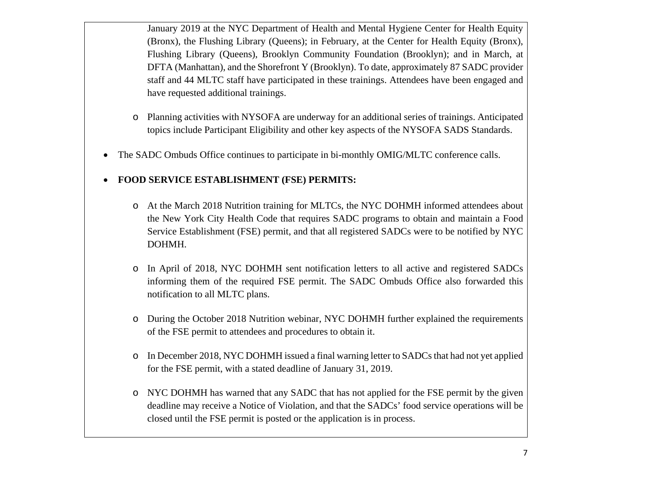January 2019 at the NYC Department of Health and Mental Hygiene Center for Health Equity (Bronx), the Flushing Library (Queens); in February, at the Center for Health Equity (Bronx), Flushing Library (Queens), Brooklyn Community Foundation (Brooklyn); and in March, at DFTA (Manhattan), and the Shorefront Y (Brooklyn). To date, approximately 87 SADC provider staff and 44 MLTC staff have participated in these trainings. Attendees have been engaged and have requested additional trainings.

- o Planning activities with NYSOFA are underway for an additional series of trainings. Anticipated topics include Participant Eligibility and other key aspects of the NYSOFA SADS Standards.
- 0 The SADC Ombuds Office continues to participate in bi-monthly OMIG/MLTC conference calls.

#### $\bullet$ **FOOD SERVICE ESTABLISHMENT (FSE) PERMITS:**

- o At the March 2018 Nutrition training for MLTCs, the NYC DOHMH informed attendees about the New York City Health Code that requires SADC programs to obtain and maintain a Food Service Establishment (FSE) permit, and that all registered SADCs were to be notified by NYC DOHMH.
- o In April of 2018, NYC DOHMH sent notification letters to all active and registered SADCs informing them of the required FSE permit. The SADC Ombuds Office also forwarded this notification to all MLTC plans.
- o During the October 2018 Nutrition webinar, NYC DOHMH further explained the requirements of the FSE permit to attendees and procedures to obtain it.
- o In December 2018, NYC DOHMH issued a final warning letter to SADCs that had not yet applied for the FSE permit, with a stated deadline of January 31, 2019.
- o NYC DOHMH has warned that any SADC that has not applied for the FSE permit by the given deadline may receive a Notice of Violation, and that the SADCs' food service operations will be closed until the FSE permit is posted or the application is in process.